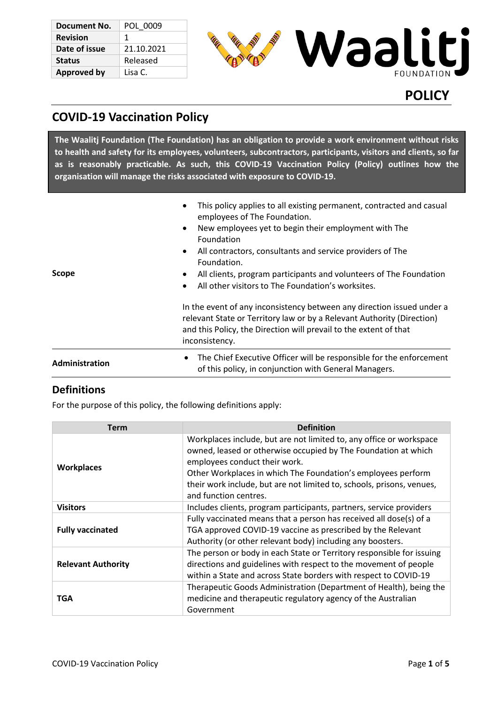| Document No.       | POL 0009   |
|--------------------|------------|
| <b>Revision</b>    | 1          |
| Date of issue      | 21.10.2021 |
| <b>Status</b>      | Released   |
| <b>Approved by</b> | Lisa C.    |



# **POLICY**

# **COVID-19 Vaccination Policy**

**The Waalitj Foundation (The Foundation) has an obligation to provide a work environment without risks to health and safety for its employees, volunteers, subcontractors, participants, visitors and clients, so far as is reasonably practicable. As such, this COVID-19 Vaccination Policy (Policy) outlines how the organisation will manage the risks associated with exposure to COVID-19.**

| Scope          | This policy applies to all existing permanent, contracted and casual<br>$\bullet$<br>employees of The Foundation.<br>New employees yet to begin their employment with The<br>$\bullet$<br>Foundation<br>All contractors, consultants and service providers of The<br>Foundation.<br>All clients, program participants and volunteers of The Foundation<br>All other visitors to The Foundation's worksites.<br>$\bullet$ |
|----------------|--------------------------------------------------------------------------------------------------------------------------------------------------------------------------------------------------------------------------------------------------------------------------------------------------------------------------------------------------------------------------------------------------------------------------|
|                | In the event of any inconsistency between any direction issued under a<br>relevant State or Territory law or by a Relevant Authority (Direction)<br>and this Policy, the Direction will prevail to the extent of that<br>inconsistency.                                                                                                                                                                                  |
| Administration | The Chief Executive Officer will be responsible for the enforcement<br>$\bullet$<br>of this policy, in conjunction with General Managers.                                                                                                                                                                                                                                                                                |

## **Definitions**

For the purpose of this policy, the following definitions apply:

| Term                      | <b>Definition</b>                                                                                                                                                                                                                                                                                                                        |
|---------------------------|------------------------------------------------------------------------------------------------------------------------------------------------------------------------------------------------------------------------------------------------------------------------------------------------------------------------------------------|
| <b>Workplaces</b>         | Workplaces include, but are not limited to, any office or workspace<br>owned, leased or otherwise occupied by The Foundation at which<br>employees conduct their work.<br>Other Workplaces in which The Foundation's employees perform<br>their work include, but are not limited to, schools, prisons, venues,<br>and function centres. |
| <b>Visitors</b>           | Includes clients, program participants, partners, service providers                                                                                                                                                                                                                                                                      |
| <b>Fully vaccinated</b>   | Fully vaccinated means that a person has received all dose(s) of a<br>TGA approved COVID-19 vaccine as prescribed by the Relevant<br>Authority (or other relevant body) including any boosters.                                                                                                                                          |
| <b>Relevant Authority</b> | The person or body in each State or Territory responsible for issuing<br>directions and guidelines with respect to the movement of people<br>within a State and across State borders with respect to COVID-19                                                                                                                            |
| <b>TGA</b>                | Therapeutic Goods Administration (Department of Health), being the<br>medicine and therapeutic regulatory agency of the Australian<br>Government                                                                                                                                                                                         |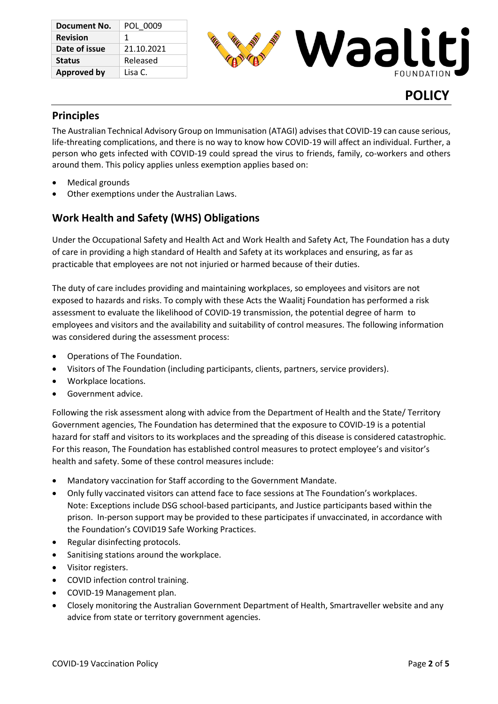| Document No.       | POL 0009   |
|--------------------|------------|
| <b>Revision</b>    | 1          |
| Date of issue      | 21.10.2021 |
| <b>Status</b>      | Released   |
| <b>Approved by</b> | Lisa C.    |



### **Principles**

The Australian Technical Advisory Group on Immunisation (ATAGI) advises that COVID-19 can cause serious, life-threating complications, and there is no way to know how COVID-19 will affect an individual. Further, a person who gets infected with COVID-19 could spread the virus to friends, family, co-workers and others around them. This policy applies unless exemption applies based on:

- Medical grounds
- Other exemptions under the Australian Laws.

## **Work Health and Safety (WHS) Obligations**

Under the Occupational Safety and Health Act and Work Health and Safety Act, The Foundation has a duty of care in providing a high standard of Health and Safety at its workplaces and ensuring, as far as practicable that employees are not not injuried or harmed because of their duties.

The duty of care includes providing and maintaining workplaces, so employees and visitors are not exposed to hazards and risks. To comply with these Acts the Waalitj Foundation has performed a risk assessment to evaluate the likelihood of COVID-19 transmission, the potential degree of harm to employees and visitors and the availability and suitability of control measures. The following information was considered during the assessment process:

- Operations of The Foundation.
- Visitors of The Foundation (including participants, clients, partners, service providers).
- Workplace locations.
- Government advice.

Following the risk assessment along with advice from the Department of Health and the State/ Territory Government agencies, The Foundation has determined that the exposure to COVID-19 is a potential hazard for staff and visitors to its workplaces and the spreading of this disease is considered catastrophic. For this reason, The Foundation has established control measures to protect employee's and visitor's health and safety. Some of these control measures include:

- Mandatory vaccination for Staff according to the Government Mandate.
- Only fully vaccinated visitors can attend face to face sessions at The Foundation's workplaces. Note: Exceptions include DSG school-based participants, and Justice participants based within the prison. In-person support may be provided to these participates if unvaccinated, in accordance with the Foundation's COVID19 Safe Working Practices.
- Regular disinfecting protocols.
- Sanitising stations around the workplace.
- Visitor registers.
- COVID infection control training.
- COVID-19 Management plan.
- Closely monitoring the Australian Government Department of Health, Smartraveller website and any advice from state or territory government agencies.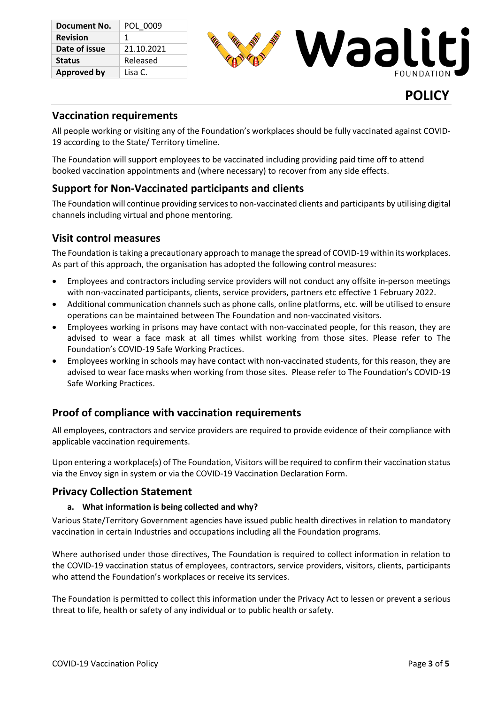| Document No.       | POL 0009   |
|--------------------|------------|
| <b>Revision</b>    | 1          |
| Date of issue      | 21.10.2021 |
| <b>Status</b>      | Released   |
| <b>Approved by</b> | Lisa C.    |



## **Vaccination requirements**

All people working or visiting any of the Foundation's workplaces should be fully vaccinated against COVID-19 according to the State/ Territory timeline.

The Foundation will support employees to be vaccinated including providing paid time off to attend booked vaccination appointments and (where necessary) to recover from any side effects.

## **Support for Non-Vaccinated participants and clients**

The Foundation will continue providing servicesto non-vaccinated clients and participants by utilising digital channels including virtual and phone mentoring.

## **Visit control measures**

The Foundation is taking a precautionary approach to manage the spread of COVID-19 within its workplaces. As part of this approach, the organisation has adopted the following control measures:

- Employees and contractors including service providers will not conduct any offsite in-person meetings with non-vaccinated participants, clients, service providers, partners etc effective 1 February 2022.
- Additional communication channels such as phone calls, online platforms, etc. will be utilised to ensure operations can be maintained between The Foundation and non-vaccinated visitors.
- Employees working in prisons may have contact with non-vaccinated people, for this reason, they are advised to wear a face mask at all times whilst working from those sites. Please refer to The Foundation's COVID-19 Safe Working Practices.
- Employees working in schools may have contact with non-vaccinated students, for this reason, they are advised to wear face masks when working from those sites. Please refer to The Foundation's COVID-19 Safe Working Practices.

## **Proof of compliance with vaccination requirements**

All employees, contractors and service providers are required to provide evidence of their compliance with applicable vaccination requirements.

Upon entering a workplace(s) of The Foundation, Visitors will be required to confirm their vaccination status via the Envoy sign in system or via the COVID-19 Vaccination Declaration Form.

### **Privacy Collection Statement**

#### **a. What information is being collected and why?**

Various State/Territory Government agencies have issued public health directives in relation to mandatory vaccination in certain Industries and occupations including all the Foundation programs.

Where authorised under those directives, The Foundation is required to collect information in relation to the COVID-19 vaccination status of employees, contractors, service providers, visitors, clients, participants who attend the Foundation's workplaces or receive its services.

The Foundation is permitted to collect this information under the Privacy Act to lessen or prevent a serious threat to life, health or safety of any individual or to public health or safety.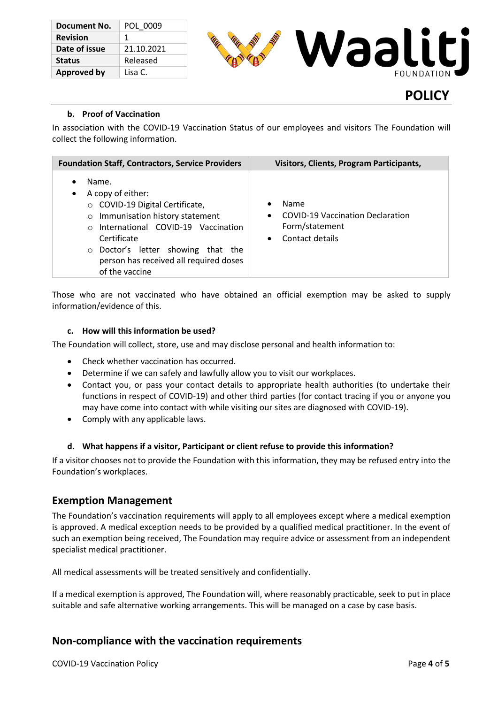| Document No.       | POL 0009   |
|--------------------|------------|
| <b>Revision</b>    | 1          |
| Date of issue      | 21.10.2021 |
| <b>Status</b>      | Released   |
| <b>Approved by</b> | Lisa C.    |



# **POLICY**

#### **b. Proof of Vaccination**

In association with the COVID-19 Vaccination Status of our employees and visitors The Foundation will collect the following information.

| <b>Foundation Staff, Contractors, Service Providers</b>                                                                                                                                                                                                                                                        | <b>Visitors, Clients, Program Participants,</b>                                                                |
|----------------------------------------------------------------------------------------------------------------------------------------------------------------------------------------------------------------------------------------------------------------------------------------------------------------|----------------------------------------------------------------------------------------------------------------|
| Name.<br>$\bullet$<br>A copy of either:<br>$\bullet$<br>○ COVID-19 Digital Certificate,<br>Immunisation history statement<br>$\circ$<br>International COVID-19 Vaccination<br>$\bigcap$<br>Certificate<br>$\circ$ Doctor's letter showing that the<br>person has received all required doses<br>of the vaccine | Name<br><b>COVID-19 Vaccination Declaration</b><br>$\bullet$<br>Form/statement<br>Contact details<br>$\bullet$ |

Those who are not vaccinated who have obtained an official exemption may be asked to supply information/evidence of this.

#### **c. How will this information be used?**

The Foundation will collect, store, use and may disclose personal and health information to:

- Check whether vaccination has occurred.
- Determine if we can safely and lawfully allow you to visit our workplaces.
- Contact you, or pass your contact details to appropriate health authorities (to undertake their functions in respect of COVID-19) and other third parties (for contact tracing if you or anyone you may have come into contact with while visiting our sites are diagnosed with COVID-19).
- Comply with any applicable laws.

#### **d. What happens if a visitor, Participant or client refuse to provide this information?**

If a visitor chooses not to provide the Foundation with this information, they may be refused entry into the Foundation's workplaces.

### **Exemption Management**

The Foundation's vaccination requirements will apply to all employees except where a medical exemption is approved. A medical exception needs to be provided by a qualified medical practitioner. In the event of such an exemption being received, The Foundation may require advice or assessment from an independent specialist medical practitioner.

All medical assessments will be treated sensitively and confidentially.

If a medical exemption is approved, The Foundation will, where reasonably practicable, seek to put in place suitable and safe alternative working arrangements. This will be managed on a case by case basis.

## **Non-compliance with the vaccination requirements**

COVID-19 Vaccination Policy Page **4** of **5**